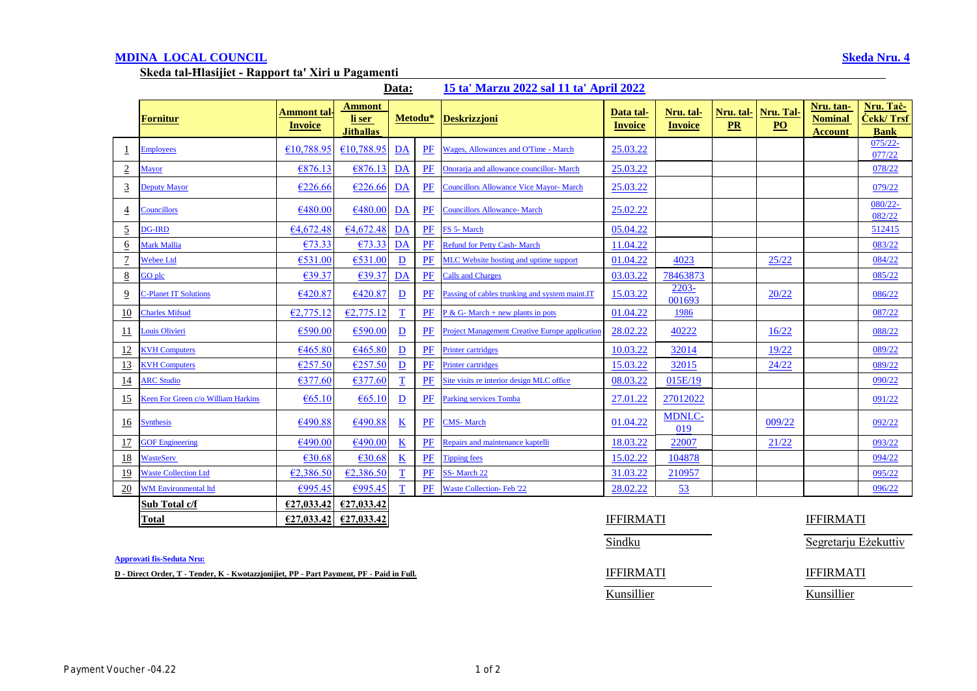## **MDINA LOCAL COUNCIL Skeda Nru. 4**

**Skeda tal-Ħlasijiet - Rapport ta' Xiri u Pagamenti** 

|--|

|                 | Fornitur                           | Ammont tal <sub>`</sub> | <b>Ammont</b><br>li ser |                          | Metodu*   | <b>Deskrizzjoni</b>                                   | Data tal-        | Nru. tal-            | Nru. tal- | Nru. Tal-       | Nru. tan-<br><b>Nominal</b> | Nru. Tač-<br>Čekk/ Trsf |
|-----------------|------------------------------------|-------------------------|-------------------------|--------------------------|-----------|-------------------------------------------------------|------------------|----------------------|-----------|-----------------|-----------------------------|-------------------------|
|                 |                                    | <b>Invoice</b>          | <b>Jithallas</b>        |                          |           |                                                       | <b>Invoice</b>   | <b>Invoice</b>       | <b>PR</b> | PO <sub>1</sub> | <b>Account</b>              | <b>Bank</b>             |
|                 | <b>Employees</b>                   | €10,788.95              | €10,788.95              | DA                       | PF        | Wages, Allowances and O'Time - March                  | 25.03.22         |                      |           |                 |                             | $075/22 -$<br>077/22    |
| $\overline{2}$  | Mayor                              | €876.13                 | E876.13                 | DA                       | PF        | Onorarja and allowance councillor- March              | 25.03.22         |                      |           |                 |                             | 078/22                  |
| $\overline{3}$  | Deputy Mayor                       | €226.66                 | €226.66                 | DA                       | PF        | <b>Councillors Allowance Vice Mayor- March</b>        | 25.03.22         |                      |           |                 |                             | 079/22                  |
| $\overline{4}$  | <b>Councillors</b>                 | €480.00                 | €480.00                 | DA                       | PF        | <b>Councillors Allowance- March</b>                   | 25.02.22         |                      |           |                 |                             | 080/22-<br>082/22       |
| $\overline{5}$  | <b>DG-IRD</b>                      | 64,672.48               | 64,672.48               | DA                       | PF        | FS 5- March                                           | 05.04.22         |                      |           |                 |                             | 512415                  |
| 6               | Mark Mallia                        | €73.33                  | €73.33                  | DA                       | PF        | <b>Refund for Petty Cash-March</b>                    | 11.04.22         |                      |           |                 |                             | 083/22                  |
| $\overline{1}$  | <b>Webee Ltd</b>                   | €531.00                 | €531.00                 | $\mathbf{D}$             | PF        | MLC Website hosting and uptime support                | 01.04.22         | 4023                 |           | 25/22           |                             | 084/22                  |
| $8\overline{8}$ | GO plc                             | €39.37                  | €39.37                  | DA                       | PF        | <b>Calls and Charges</b>                              | 03.03.22         | 78463873             |           |                 |                             | 085/22                  |
| $\overline{9}$  | <b>2-Planet IT Solutions</b>       | €420.87                 | €420.87                 | $\overline{\mathbf{D}}$  | <b>PF</b> | Passing of cables trunking and system maint.IT        | 15.03.22         | 2203-<br>001693      |           | 20/22           |                             | 086/22                  |
| 10              | <b>Charles Mifsud</b>              | E2,775.12               | E2,775.12               | $\mathbf T$              | PF        | $P & G$ - March + new plants in pots                  | 01.04.22         | 1986                 |           |                 |                             | 087/22                  |
| $\overline{11}$ | Louis Olivieri                     | €590.00                 | €590.00                 | $\overline{D}$           | PF        | <b>Project Management Creative Europe application</b> | 28.02.22         | 40222                |           | 16/22           |                             | 088/22                  |
| 12              | <b>CVH Computers</b>               | €465.80                 | €465.80                 | $\mathbf{D}$             | PF        | <b>Printer cartridges</b>                             | 10.03.22         | 32014                |           | 19/22           |                             | 089/22                  |
| <u>13</u>       | <b>KVH Computers</b>               | €257.50                 | E257.50                 | $\underline{\mathbf{D}}$ | $P$ F     | <b>Printer cartridges</b>                             | 15.03.22         | 32015                |           | 24/22           |                             | 089/22                  |
| <u>14</u>       | <b>ARC Studio</b>                  | €377.60                 | €377.60                 | $\overline{\mathbf{T}}$  | PF        | Site visits re interior design MLC office             | 08.03.22         | 015E/19              |           |                 |                             | 090/22                  |
| <u>15</u>       | Keen For Green c/o William Harkins | €65.10                  | $\epsilon$ 65.10        | $\overline{\mathbf{D}}$  | PF        | <b>Parking services Tomba</b>                         | 27.01.22         | 27012022             |           |                 |                             | 091/22                  |
| <u>16</u>       | <b>Synthesis</b>                   | €490.88                 | €490.88                 | $\underline{\mathbf{K}}$ | PF        | <b>CMS-March</b>                                      | 01.04.22         | <b>MDNLC-</b><br>019 |           | 009/22          |                             | 092/22                  |
| 17              | <b>GOF Engineering</b>             | €490.00                 | €490.00                 | $\underline{\mathbf{K}}$ | PF        | Repairs and maintenance kaptelli                      | 18.03.22         | 22007                |           | 21/22           |                             | 093/22                  |
| 18              | <b>WasteServ</b>                   | €30.68                  | €30.68                  | $\underline{\mathbf{K}}$ | $P$ $F$   | <b>Tipping fees</b>                                   | 15.02.22         | 104878               |           |                 |                             | 094/22                  |
| <u>19</u>       | <b>Waste Collection Ltd</b>        | €2,386.50               | €2,386.50               | $\mathbf T$              | PF        | SS-March 22                                           | 31.03.22         | 210957               |           |                 |                             | 095/22                  |
| 20              | <b>WM Environmental ltd</b>        | €995.45                 | €995.45                 | T                        | PF        | <b>Waste Collection-Feb '22</b>                       | 28.02.22         | 53                   |           |                 |                             | 096/22                  |
|                 | Sub Total c/f                      | €27,033.42              | £27,033.42              |                          |           |                                                       |                  |                      |           |                 |                             |                         |
|                 | <b>Total</b>                       | E27,033.42              | £27,033.42              |                          |           |                                                       | <b>IFFIRMATI</b> |                      |           |                 | <b>IFFIRMATI</b>            |                         |

**Approvati fis-Seduta Nru:**

**D** - Direct Order, T - Tender, K - Kwotazzjonijiet, PP - Part Payment, PF - Paid in Full. **IFFIRMATI** IFFIRMATI

Kunsillier Kunsillier

Sindku Segretarju Eżekuttiv